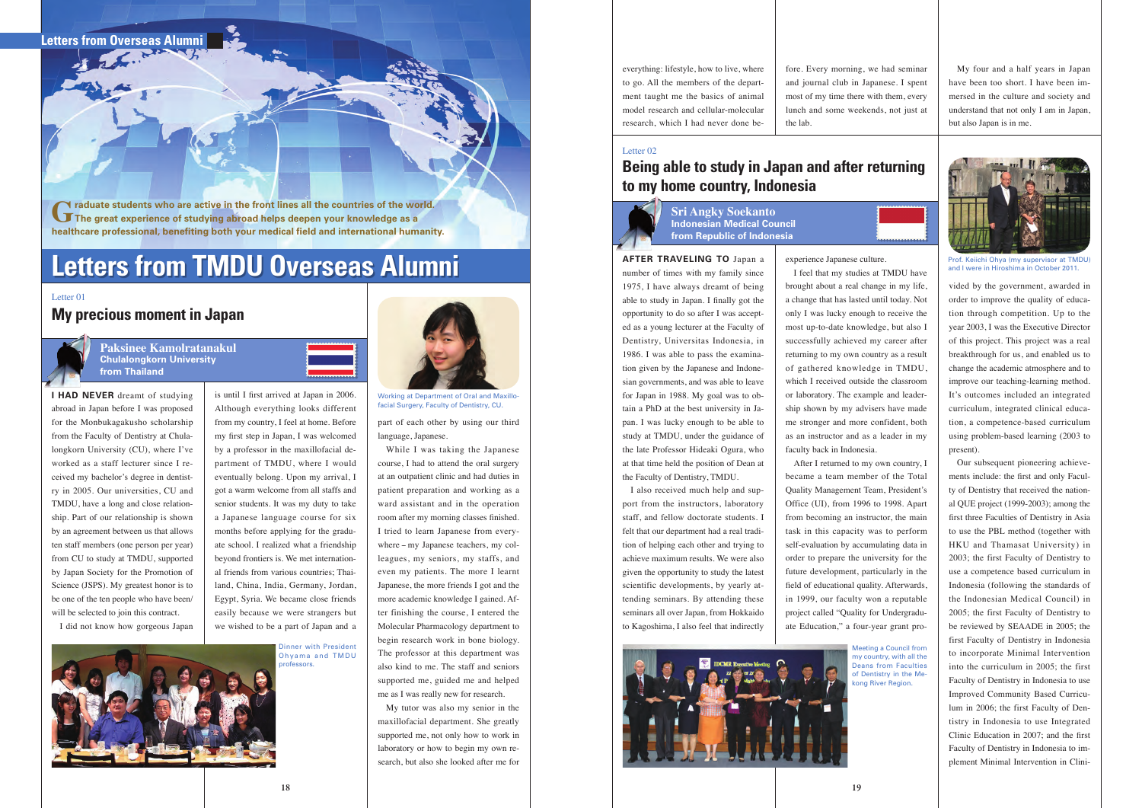# **Letters from TMDU Overseas Alumni**

**I HAD NEVER** dreamt of studying abroad in Japan before I was proposed for the Monbukagakusho scholarship from the Faculty of Dentistry at Chulalongkorn University (CU), where I've worked as a staff lecturer since I received my bachelor's degree in dentistry in 2005. Our universities, CU and TMDU, have a long and close relationship. Part of our relationship is shown by an agreement between us that allows ten staff members (one person per year) from CU to study at TMDU, supported by Japan Society for the Promotion of Science (JSPS). My greatest honor is to be one of the ten people who have been/ will be selected to join this contract.

I did not know how gorgeous Japan

is until I first arrived at Japan in 2006. Although everything looks different from my country, I feel at home. Before my first step in Japan, I was welcomed by a professor in the maxillofacial department of TMDU, where I would eventually belong. Upon my arrival, I got a warm welcome from all staffs and senior students. It was my duty to take a Japanese language course for six months before applying for the graduate school. I realized what a friendship beyond frontiers is. We met international friends from various countries; Thailand, China, India, Germany, Jordan, Egypt, Syria. We became close friends easily because we were strangers but we wished to be a part of Japan and a

part of each other by using our third language, Japanese.

While I was taking the Japanese course, I had to attend the oral surgery at an outpatient clinic and had duties in patient preparation and working as a ward assistant and in the operation room after my morning classes finished. I tried to learn Japanese from everywhere - my Japanese teachers, my colleagues, my seniors, my staffs, and even my patients. The more I learnt Japanese, the more friends I got and the more academic knowledge I gained. After finishing the course, I entered the Molecular Pharmacology department to begin research work in bone biology. The professor at this department was also kind to me. The staff and seniors supported me, guided me and helped me as I was really new for research.

My tutor was also my senior in the maxillofacial department. She greatly supported me, not only how to work in laboratory or how to begin my own research, but also she looked after me for

**Graduate students who are active in the front lines all the countries of the world. The great experience of studying abroad helps deepen your knowledge as a healthcare professional, benefiting both your medical field and international humanity.**

> **Paksinee Kamolratanakul Chulalongkorn University from Thailand**

#### Letter 01

### **My precious moment in Japan**





Working at Department of Oral and Maxillofacial Surgery, Faculty of Dentistry, CU.

Dinner with President Ohyama and TMDU professors.



everything: lifestyle, how to live, where to go. All the members of the department taught me the basics of animal model research and cellular-molecular research, which I had never done be-

#### **AFTER TRAVELING TO** Japan a

Meeting a Council from my country, with all the Deans from Faculties of Dentistry in the Meong River Region.

number of times with my family since 1975, I have always dreamt of being able to study in Japan. I finally got the opportunity to do so after I was accepted as a young lecturer at the Faculty of Dentistry, Universitas Indonesia, in 1986. I was able to pass the examination given by the Japanese and Indonesian governments, and was able to leave for Japan in 1988. My goal was to obtain a PhD at the best university in Japan. I was lucky enough to be able to study at TMDU, under the guidance of the late Professor Hideaki Ogura, who at that time held the position of Dean at the Faculty of Dentistry, TMDU.

I also received much help and support from the instructors, laboratory staff, and fellow doctorate students. I felt that our department had a real tradition of helping each other and trying to achieve maximum results. We were also given the opportunity to study the latest scientific developments, by yearly attending seminars. By attending these seminars all over Japan, from Hokkaido to Kagoshima, I also feel that indirectly

experience Japanese culture. I feel that my studies at TMDU have brought about a real change in my life, a change that has lasted until today. Not only I was lucky enough to receive the most up-to-date knowledge, but also I successfully achieved my career after returning to my own country as a result of gathered knowledge in TMDU, which I received outside the classroom or laboratory. The example and leadership shown by my advisers have made me stronger and more confident, both as an instructor and as a leader in my faculty back in Indonesia. After I returned to my own country, I

became a team member of the Total Quality Management Team, President's Office (UI), from 1996 to 1998. Apart from becoming an instructor, the main task in this capacity was to perform self-evaluation by accumulating data in order to prepare the university for the future development, particularly in the field of educational quality. Afterwards, in 1999, our faculty won a reputable project called "Quality for Undergraduate Education," a four-year grant pro-





vided by the government, awarded in order to improve the quality of education through competition. Up to the year 2003, I was the Executive Director of this project. This project was a real breakthrough for us, and enabled us to change the academic atmosphere and to improve our teaching-learning method. It's outcomes included an integrated curriculum, integrated clinical education, a competence-based curriculum using problem-based learning (2003 to present).

Our subsequent pioneering achievements include: the first and only Faculty of Dentistry that received the national QUE project (1999-2003); among the first three Faculties of Dentistry in Asia to use the PBL method (together with HKU and Thamasat University) in 2003; the first Faculty of Dentistry to use a competence based curriculum in Indonesia (following the standards of the Indonesian Medical Council) in 2005; the first Faculty of Dentistry to be reviewed by SEAADE in 2005; the first Faculty of Dentistry in Indonesia to incorporate Minimal Intervention into the curriculum in 2005; the first Faculty of Dentistry in Indonesia to use Improved Community Based Curriculum in 2006; the first Faculty of Dentistry in Indonesia to use Integrated Clinic Education in 2007; and the first Faculty of Dentistry in Indonesia to implement Minimal Intervention in Clini-

# **Being able to study in Japan and after returning to my home country, Indonesia**



**Sri Angky Soekanto Indonesian Medical Council from Republic of Indonesia**

### Letter 02



Prof. Keiichi Ohya (my supervisor at TMDU) and I were in Hiroshima in October 2011.

fore. Every morning, we had seminar and journal club in Japanese. I spent most of my time there with them, every lunch and some weekends, not just at the lab.

My four and a half years in Japan have been too short. I have been immersed in the culture and society and understand that not only I am in Japan, but also Japan is in me.

**Letters from Overseas Alumni**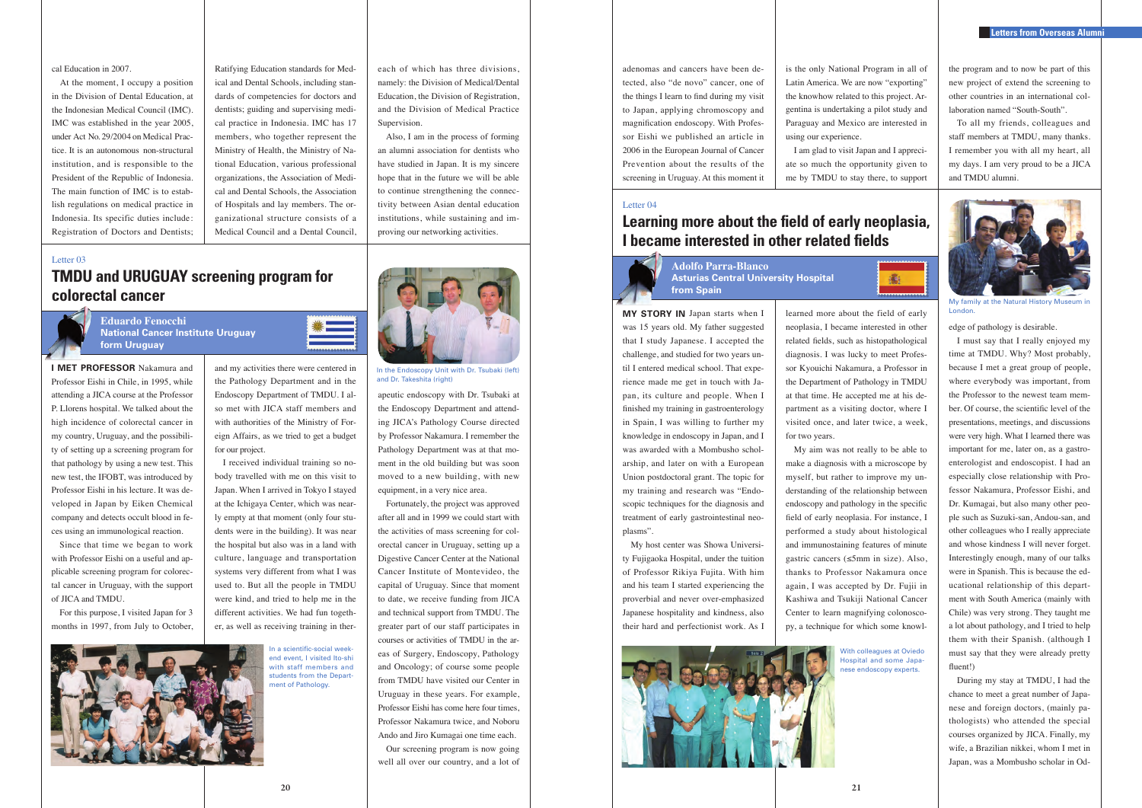the program and to now be part of this new project of extend the screening to other countries in an international collaboration named "South-South".

To all my friends, colleagues and staff members at TMDU, many thanks. I remember you with all my heart, all my days. I am very proud to be a JICA and TMDU alumni.





### **Eduardo Fenocchi National Cancer Institute Uruguay form Uruguay**

#### Letter 03

cal Education in 2007.

At the moment, I occupy a position in the Division of Dental Education, at the Indonesian Medical Council (IMC). IMC was established in the year 2005, under Act No. 29/2004 on Medical Practice. It is an autonomous non-structural institution, and is responsible to the President of the Republic of Indonesia. The main function of IMC is to establish regulations on medical practice in Indonesia. Its specific duties include: Registration of Doctors and Dentists;

Ratifying Education standards for Medical and Dental Schools, including standards of competencies for doctors and dentists; guiding and supervising medical practice in Indonesia. IMC has 17 members, who together represent the Ministry of Health, the Ministry of National Education, various professional organizations, the Association of Medical and Dental Schools, the Association of Hospitals and lay members. The organizational structure consists of a Medical Council and a Dental Council,

each of which has three divisions, namely: the Division of Medical/Dental Education, the Division of Registration, and the Division of Medical Practice

Supervision.

Also, I am in the process of forming an alumni association for dentists who have studied in Japan. It is my sincere hope that in the future we will be able to continue strengthening the connectivity between Asian dental education institutions, while sustaining and improving our networking activities.

**I MET PROFESSOR** Nakamura and Professor Eishi in Chile, in 1995, while attending a JICA course at the Professor P. Llorens hospital. We talked about the high incidence of colorectal cancer in my country, Uruguay, and the possibility of setting up a screening program for that pathology by using a new test. This new test, the IFOBT, was introduced by Professor Eishi in his lecture. It was developed in Japan by Eiken Chemical company and detects occult blood in feces using an immunological reaction.

Since that time we began to work with Professor Eishi on a useful and applicable screening program for colorectal cancer in Uruguay, with the support of JICA and TMDU.

For this purpose, I visited Japan for 3 months in 1997, from July to October, and my activities there were centered in the Pathology Department and in the Endoscopy Department of TMDU. I also met with JICA staff members and with authorities of the Ministry of Foreign Affairs, as we tried to get a budget for our project.

I received individual training so nobody travelled with me on this visit to Japan. When I arrived in Tokyo I stayed at the Ichigaya Center, which was nearly empty at that moment (only four students were in the building). It was near the hospital but also was in a land with culture, language and transportation systems very different from what I was used to. But all the people in TMDU were kind, and tried to help me in the different activities. We had fun together, as well as receiving training in therapeutic endoscopy with Dr. Tsubaki at the Endoscopy Department and attending JICA's Pathology Course directed by Professor Nakamura. I remember the Pathology Department was at that moment in the old building but was soon moved to a new building, with new equipment, in a very nice area.

Fortunately, the project was approved after all and in 1999 we could start with the activities of mass screening for colorectal cancer in Uruguay, setting up a Digestive Cancer Center at the National Cancer Institute of Montevideo, the capital of Uruguay. Since that moment to date, we receive funding from JICA and technical support from TMDU. The greater part of our staff participates in courses or activities of TMDU in the areas of Surgery, Endoscopy, Pathology and Oncology; of course some people from TMDU have visited our Center in Uruguay in these years. For example, Professor Eishi has come here four times, Professor Nakamura twice, and Noboru Ando and Jiro Kumagai one time each.

Our screening program is now going well all over our country, and a lot of

In the Endoscopy Unit with Dr. Tsubaki (left) and Dr. Takeshita (right)

In a scientific-social weekend event, I visited Ito-shi with staff members and students from the Department of Pathology.



learned more about the field of early neoplasia, I became interested in other related fields, such as histopathological diagnosis. I was lucky to meet Professor Kyouichi Nakamura, a Professor in the Department of Pathology in TMDU at that time. He accepted me at his department as a visiting doctor, where I visited once, and later twice, a week,

for two years.

My aim was not really to be able to make a diagnosis with a microscope by myself, but rather to improve my understanding of the relationship between endoscopy and pathology in the specific field of early neoplasia. For instance, I performed a study about histological and immunostaining features of minute gastric cancers (≤5mm in size). Also, thanks to Professor Nakamura once again, I was accepted by Dr. Fujii in Kashiwa and Tsukiji National Cancer Center to learn magnifying colonoscopy, a technique for which some knowl-



My family at the Natural History Museum in London.

adenomas and cancers have been detected, also "de novo" cancer, one of the things I learn to find during my visit to Japan, applying chromoscopy and magnification endoscopy. With Professor Eishi we published an article in 2006 in the European Journal of Cancer Prevention about the results of the screening in Uruguay. At this moment it

is the only National Program in all of Latin America. We are now "exporting" the knowhow related to this project. Argentina is undertaking a pilot study and Paraguay and Mexico are interested in using our experience. I am glad to visit Japan and I appreci-

ate so much the opportunity given to me by TMDU to stay there, to support



**MY STORY IN** Japan starts when I was 15 years old. My father suggested that I study Japanese. I accepted the challenge, and studied for two years until I entered medical school. That experience made me get in touch with Japan, its culture and people. When I finished my training in gastroenterology in Spain, I was willing to further my knowledge in endoscopy in Japan, and I was awarded with a Mombusho scholarship, and later on with a European Union postdoctoral grant. The topic for my training and research was "Endoscopic techniques for the diagnosis and treatment of early gastrointestinal neoplasms".

My host center was Showa University Fujigaoka Hospital, under the tuition of Professor Rikiya Fujita. With him and his team I started experiencing the proverbial and never over-emphasized Japanese hospitality and kindness, also their hard and perfectionist work. As I



edge of pathology is desirable.

I must say that I really enjoyed my time at TMDU. Why? Most probably, because I met a great group of people, where everybody was important, from the Professor to the newest team member. Of course, the scientific level of the presentations, meetings, and discussions were very high. What I learned there was important for me, later on, as a gastroenterologist and endoscopist. I had an especially close relationship with Professor Nakamura, Professor Eishi, and Dr. Kumagai, but also many other people such as Suzuki-san, Andou-san, and other colleagues who I really appreciate and whose kindness I will never forget. Interestingly enough, many of our talks were in Spanish. This is because the educational relationship of this department with South America (mainly with Chile) was very strong. They taught me a lot about pathology, and I tried to help them with their Spanish. (although I must say that they were already pretty fluent!)

During my stay at TMDU, I had the chance to meet a great number of Japanese and foreign doctors, (mainly pathologists) who attended the special courses organized by JICA. Finally, my wife, a Brazilian nikkei, whom I met in Japan, was a Mombusho scholar in Od-

# **Learning more about the field of early neoplasia, I became interested in other related fields**

**Adolfo Parra-Blanco Asturias Central University Hospital from Spain**

Letter 04

#### **Letters from Overseas Alumni**

With colleagues at Oviedo Hospital and some Japanese endoscopy experts.